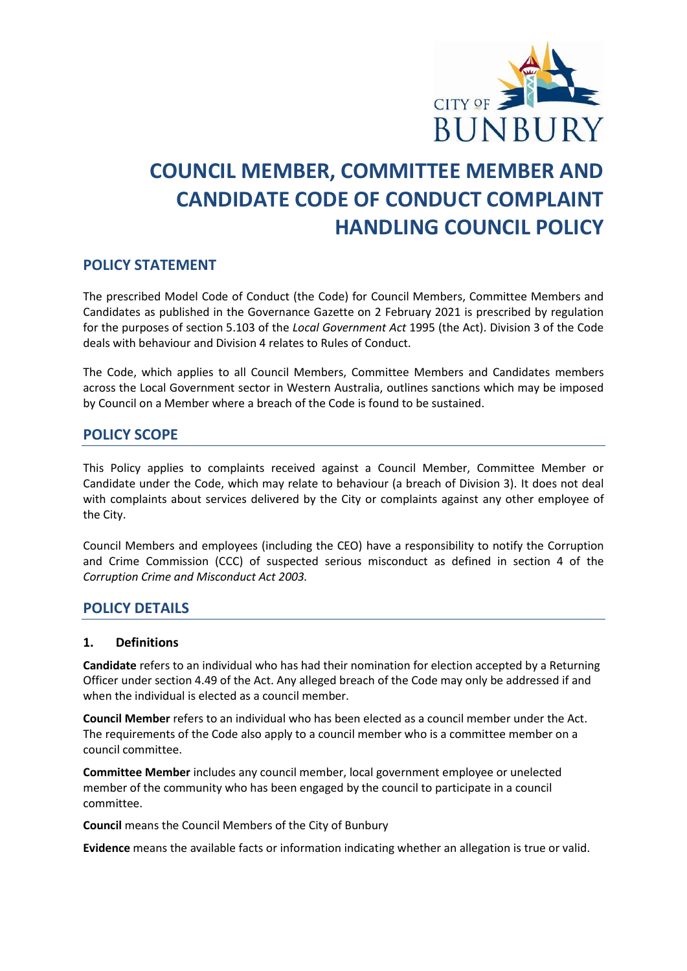

# **COUNCIL MEMBER, COMMITTEE MEMBER AND CANDIDATE CODE OF CONDUCT COMPLAINT HANDLING COUNCIL POLICY**

# **POLICY STATEMENT**

The prescribed Model Code of Conduct (the Code) for Council Members, Committee Members and Candidates as published in the Governance Gazette on 2 February 2021 is prescribed by regulation for the purposes of section 5.103 of the *Local Government Act* 1995 (the Act). Division 3 of the Code deals with behaviour and Division 4 relates to Rules of Conduct.

The Code, which applies to all Council Members, Committee Members and Candidates members across the Local Government sector in Western Australia, outlines sanctions which may be imposed by Council on a Member where a breach of the Code is found to be sustained.

# **POLICY SCOPE**

This Policy applies to complaints received against a Council Member, Committee Member or Candidate under the Code, which may relate to behaviour (a breach of Division 3). It does not deal with complaints about services delivered by the City or complaints against any other employee of the City.

Council Members and employees (including the CEO) have a responsibility to notify the Corruption and Crime Commission (CCC) of suspected serious misconduct as defined in section 4 of the *Corruption Crime and Misconduct Act 2003.*

# **POLICY DETAILS**

## **1. Definitions**

**Candidate** refers to an individual who has had their nomination for election accepted by a Returning Officer under section 4.49 of the Act. Any alleged breach of the Code may only be addressed if and when the individual is elected as a council member.

**Council Member** refers to an individual who has been elected as a council member under the Act. The requirements of the Code also apply to a council member who is a committee member on a council committee.

**Committee Member** includes any council member, local government employee or unelected member of the community who has been engaged by the council to participate in a council committee.

**Council** means the Council Members of the City of Bunbury

**Evidence** means the available facts or information indicating whether an allegation is true or valid.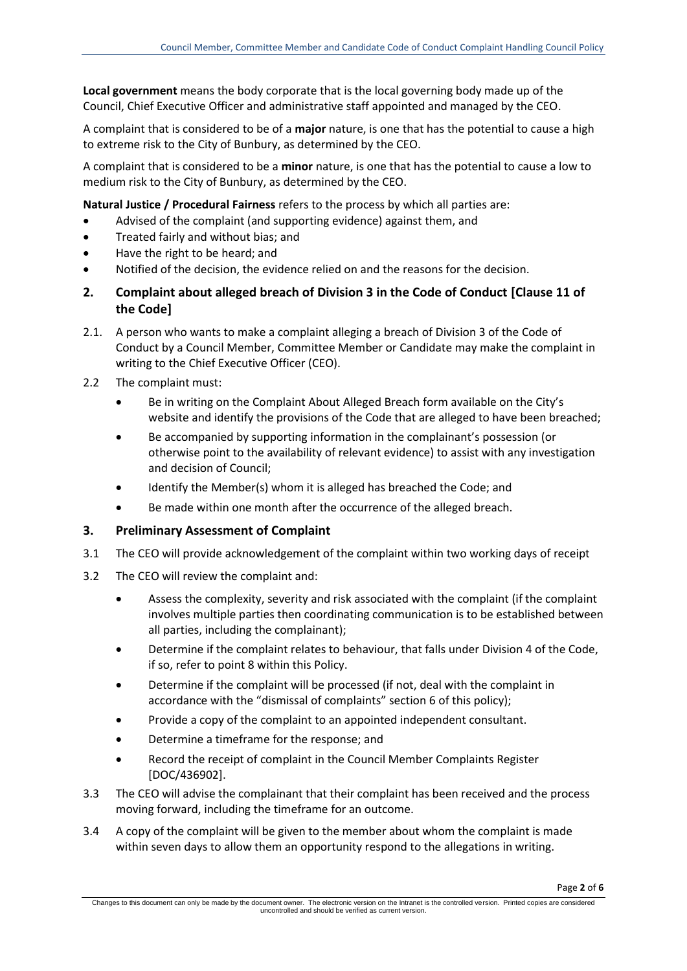**Local government** means the body corporate that is the local governing body made up of the Council, Chief Executive Officer and administrative staff appointed and managed by the CEO.

A complaint that is considered to be of a **major** nature, is one that has the potential to cause a high to extreme risk to the City of Bunbury, as determined by the CEO.

A complaint that is considered to be a **minor** nature, is one that has the potential to cause a low to medium risk to the City of Bunbury, as determined by the CEO.

**Natural Justice / Procedural Fairness** refers to the process by which all parties are:

- Advised of the complaint (and supporting evidence) against them, and
- Treated fairly and without bias; and
- Have the right to be heard; and
- Notified of the decision, the evidence relied on and the reasons for the decision.
- **2. Complaint about alleged breach of Division 3 in the Code of Conduct [Clause 11 of the Code]**
- 2.1. A person who wants to make a complaint alleging a breach of Division 3 of the Code of Conduct by a Council Member, Committee Member or Candidate may make the complaint in writing to the Chief Executive Officer (CEO).
- 2.2 The complaint must:
	- Be in writing on the Complaint About Alleged Breach form available on the City's website and identify the provisions of the Code that are alleged to have been breached;
	- Be accompanied by supporting information in the complainant's possession (or otherwise point to the availability of relevant evidence) to assist with any investigation and decision of Council;
	- Identify the Member(s) whom it is alleged has breached the Code; and
	- Be made within one month after the occurrence of the alleged breach.

## **3. Preliminary Assessment of Complaint**

- 3.1 The CEO will provide acknowledgement of the complaint within two working days of receipt
- 3.2 The CEO will review the complaint and:
	- Assess the complexity, severity and risk associated with the complaint (if the complaint involves multiple parties then coordinating communication is to be established between all parties, including the complainant);
	- Determine if the complaint relates to behaviour, that falls under Division 4 of the Code, if so, refer to point 8 within this Policy.
	- Determine if the complaint will be processed (if not, deal with the complaint in accordance with the "dismissal of complaints" section 6 of this policy);
	- Provide a copy of the complaint to an appointed independent consultant.
	- Determine a timeframe for the response; and
	- Record the receipt of complaint in the Council Member Complaints Register [DOC/436902].
- 3.3 The CEO will advise the complainant that their complaint has been received and the process moving forward, including the timeframe for an outcome.
- 3.4 A copy of the complaint will be given to the member about whom the complaint is made within seven days to allow them an opportunity respond to the allegations in writing.

Page **2** of **6**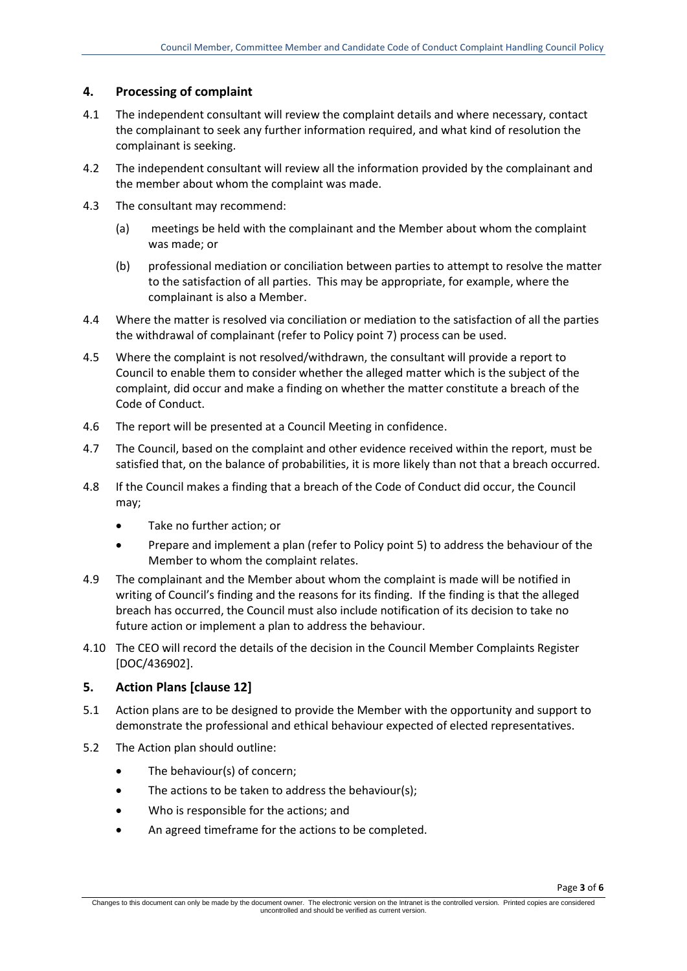## **4. Processing of complaint**

- 4.1 The independent consultant will review the complaint details and where necessary, contact the complainant to seek any further information required, and what kind of resolution the complainant is seeking.
- 4.2 The independent consultant will review all the information provided by the complainant and the member about whom the complaint was made.
- 4.3 The consultant may recommend:
	- (a) meetings be held with the complainant and the Member about whom the complaint was made; or
	- (b) professional mediation or conciliation between parties to attempt to resolve the matter to the satisfaction of all parties. This may be appropriate, for example, where the complainant is also a Member.
- 4.4 Where the matter is resolved via conciliation or mediation to the satisfaction of all the parties the withdrawal of complainant (refer to Policy point 7) process can be used.
- 4.5 Where the complaint is not resolved/withdrawn, the consultant will provide a report to Council to enable them to consider whether the alleged matter which is the subject of the complaint, did occur and make a finding on whether the matter constitute a breach of the Code of Conduct.
- 4.6 The report will be presented at a Council Meeting in confidence.
- 4.7 The Council, based on the complaint and other evidence received within the report, must be satisfied that, on the balance of probabilities, it is more likely than not that a breach occurred.
- 4.8 If the Council makes a finding that a breach of the Code of Conduct did occur, the Council may;
	- Take no further action; or
	- Prepare and implement a plan (refer to Policy point 5) to address the behaviour of the Member to whom the complaint relates.
- 4.9 The complainant and the Member about whom the complaint is made will be notified in writing of Council's finding and the reasons for its finding. If the finding is that the alleged breach has occurred, the Council must also include notification of its decision to take no future action or implement a plan to address the behaviour.
- 4.10 The CEO will record the details of the decision in the Council Member Complaints Register [DOC/436902].

## **5. Action Plans [clause 12]**

- 5.1 Action plans are to be designed to provide the Member with the opportunity and support to demonstrate the professional and ethical behaviour expected of elected representatives.
- 5.2 The Action plan should outline:
	- The behaviour(s) of concern;
	- The actions to be taken to address the behaviour(s);
	- Who is responsible for the actions; and
	- An agreed timeframe for the actions to be completed.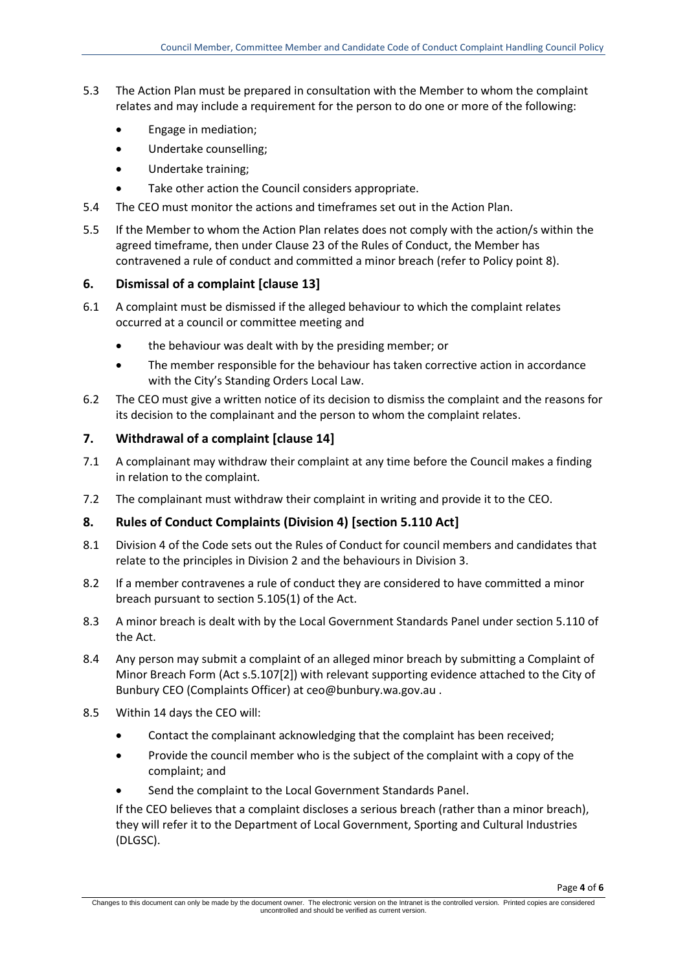- 5.3 The Action Plan must be prepared in consultation with the Member to whom the complaint relates and may include a requirement for the person to do one or more of the following:
	- Engage in mediation;
	- Undertake counselling;
	- Undertake training;
	- Take other action the Council considers appropriate.
- 5.4 The CEO must monitor the actions and timeframes set out in the Action Plan.
- 5.5 If the Member to whom the Action Plan relates does not comply with the action/s within the agreed timeframe, then under Clause 23 of the Rules of Conduct, the Member has contravened a rule of conduct and committed a minor breach (refer to Policy point 8).

## **6. Dismissal of a complaint [clause 13]**

- 6.1 A complaint must be dismissed if the alleged behaviour to which the complaint relates occurred at a council or committee meeting and
	- the behaviour was dealt with by the presiding member; or
	- The member responsible for the behaviour has taken corrective action in accordance with the City's Standing Orders Local Law.
- 6.2 The CEO must give a written notice of its decision to dismiss the complaint and the reasons for its decision to the complainant and the person to whom the complaint relates.

## **7. Withdrawal of a complaint [clause 14]**

- 7.1 A complainant may withdraw their complaint at any time before the Council makes a finding in relation to the complaint.
- 7.2 The complainant must withdraw their complaint in writing and provide it to the CEO.

## **8. Rules of Conduct Complaints (Division 4) [section 5.110 Act]**

- 8.1 Division 4 of the Code sets out the Rules of Conduct for council members and candidates that relate to the principles in Division 2 and the behaviours in Division 3.
- 8.2 If a member contravenes a rule of conduct they are considered to have committed a minor breach pursuant to section 5.105(1) of the Act.
- 8.3 A minor breach is dealt with by the Local Government Standards Panel under section 5.110 of the Act.
- 8.4 Any person may submit a complaint of an alleged minor breach by submitting a [Complaint of](https://www.dlgsc.wa.gov.au/local-government/local-governments/compliance-and-governance/breaches-of-the-local-government-act/minor-breach-findings/the-minor-breach-system-february-2021)  [Minor Breach Form](https://www.dlgsc.wa.gov.au/local-government/local-governments/compliance-and-governance/breaches-of-the-local-government-act/minor-breach-findings/the-minor-breach-system-february-2021) (Act s.5.107[2]) with relevant supporting evidence attached to the City of Bunbury CEO (Complaints Officer) a[t ceo@bunbury.wa.gov.au](mailto:ceo@bunbury.wa.gov.au) .
- 8.5 Within 14 days the CEO will:
	- Contact the complainant acknowledging that the complaint has been received;
	- Provide the council member who is the subject of the complaint with a copy of the complaint; and
	- Send the complaint to the Local Government Standards Panel.

If the CEO believes that a complaint discloses a serious breach (rather than a minor breach), they will refer it to the Department of Local Government, Sporting and Cultural Industries (DLGSC).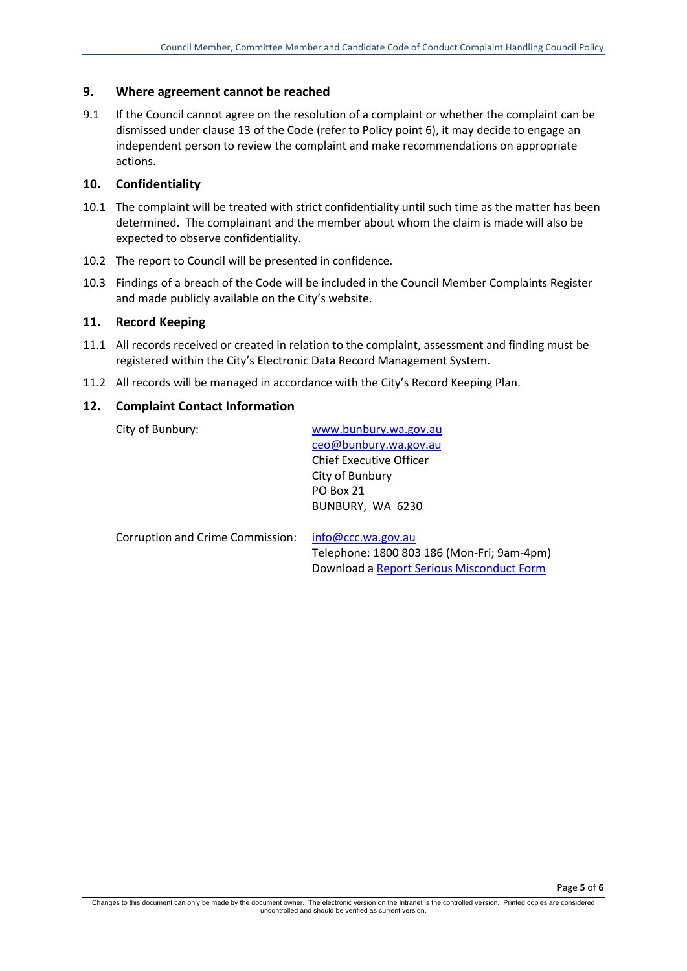#### **9. Where agreement cannot be reached**

9.1 If the Council cannot agree on the resolution of a complaint or whether the complaint can be dismissed under clause 13 of the Code (refer to Policy point 6), it may decide to engage an independent person to review the complaint and make recommendations on appropriate actions.

## **10. Confidentiality**

- 10.1 The complaint will be treated with strict confidentiality until such time as the matter has been determined. The complainant and the member about whom the claim is made will also be expected to observe confidentiality.
- 10.2 The report to Council will be presented in confidence.
- 10.3 Findings of a breach of the Code will be included in the Council Member Complaints Register and made publicly available on the City's website.

### **11. Record Keeping**

- 11.1 All records received or created in relation to the complaint, assessment and finding must be registered within the City's Electronic Data Record Management System.
- 11.2 All records will be managed in accordance with the City's Record Keeping Plan.

#### **12. Complaint Contact Information**

| City of Bunbury:                 | www.bunbury.wa.gov.au                      |  |  |  |  |
|----------------------------------|--------------------------------------------|--|--|--|--|
|                                  | ceo@bunbury.wa.gov.au                      |  |  |  |  |
|                                  | <b>Chief Executive Officer</b>             |  |  |  |  |
|                                  | City of Bunbury                            |  |  |  |  |
|                                  | PO Box 21                                  |  |  |  |  |
|                                  | BUNBURY, WA 6230                           |  |  |  |  |
|                                  |                                            |  |  |  |  |
| Corruption and Crime Commission: | info@ccc.wa.gov.au                         |  |  |  |  |
|                                  | Telephone: 1800 803 186 (Mon-Fri; 9am-4pm) |  |  |  |  |
|                                  | Download a Report Serious Misconduct Form  |  |  |  |  |